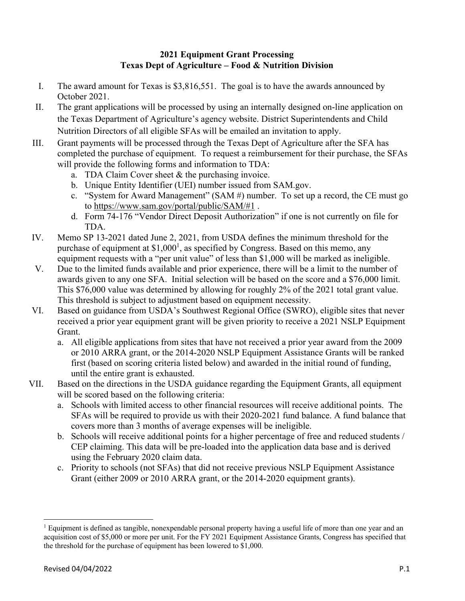## **2021 Equipment Grant Processing Texas Dept of Agriculture – Food & Nutrition Division**

- I. The award amount for Texas is \$3,816,551. The goal is to have the awards announced by October 2021.
- II. The grant applications will be processed by using an internally designed on-line application on the Texas Department of Agriculture's agency website. District Superintendents and Child Nutrition Directors of all eligible SFAs will be emailed an invitation to apply.
- III. Grant payments will be processed through the Texas Dept of Agriculture after the SFA has completed the purchase of equipment. To request a reimbursement for their purchase, the SFAs will provide the following forms and information to TDA:
	- a. TDA Claim Cover sheet & the purchasing invoice.
	- b. Unique Entity Identifier (UEI) number issued from SAM.gov.
	- c. "System for Award Management" (SAM #) number. To set up a record, the CE must go to https://www.sam.gov/portal/public/SAM/#1 .
	- d. Form 74-176 "Vendor Direct Deposit Authorization" if one is not currently on file for TDA.
- IV. Memo SP 13-2021 dated June 2, 2021, from USDA defines the minimum threshold for the purchase of equipment at  $$1,000<sup>1</sup>$ , as specified by Congress. Based on this memo, any equipment requests with a "per unit value" of less than \$1,000 will be marked as ineligible.
- V. Due to the limited funds available and prior experience, there will be a limit to the number of awards given to any one SFA. Initial selection will be based on the score and a \$76,000 limit. This \$76,000 value was determined by allowing for roughly 2% of the 2021 total grant value. This threshold is subject to adjustment based on equipment necessity.
- VI. Based on guidance from USDA's Southwest Regional Office (SWRO), eligible sites that never received a prior year equipment grant will be given priority to receive a 2021 NSLP Equipment Grant.
	- a. All eligible applications from sites that have not received a prior year award from the 2009 or 2010 ARRA grant, or the 2014-2020 NSLP Equipment Assistance Grants will be ranked first (based on scoring criteria listed below) and awarded in the initial round of funding, until the entire grant is exhausted.
- VII. Based on the directions in the USDA guidance regarding the Equipment Grants, all equipment will be scored based on the following criteria:
	- a. Schools with limited access to other financial resources will receive additional points. The SFAs will be required to provide us with their 2020-2021 fund balance. A fund balance that covers more than 3 months of average expenses will be ineligible.
	- b. Schools will receive additional points for a higher percentage of free and reduced students / CEP claiming. This data will be pre-loaded into the application data base and is derived using the February 2020 claim data.
	- c. Priority to schools (not SFAs) that did not receive previous NSLP Equipment Assistance Grant (either 2009 or 2010 ARRA grant, or the 2014-2020 equipment grants).

<sup>&</sup>lt;sup>1</sup> Equipment is defined as tangible, nonexpendable personal property having a useful life of more than one year and an acquisition cost of \$5,000 or more per unit. For the FY 2021 Equipment Assistance Grants, Congress has specified that the threshold for the purchase of equipment has been lowered to \$1,000.